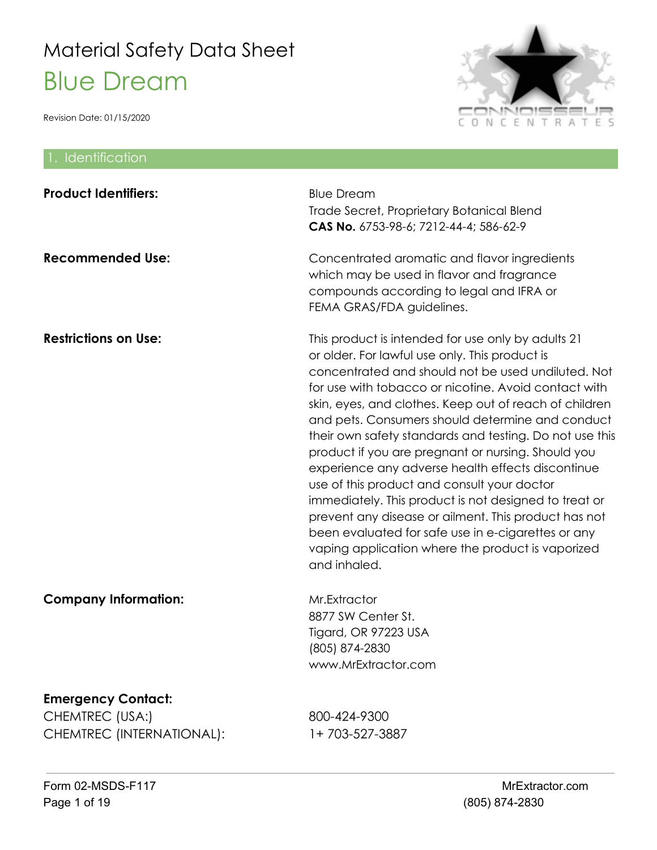

| 1. Identification                                                         |                                                                                                                                                                                                                                                                                                                                                                                                                                                                                                                                                                                                                                                                                                                                                                                                   |
|---------------------------------------------------------------------------|---------------------------------------------------------------------------------------------------------------------------------------------------------------------------------------------------------------------------------------------------------------------------------------------------------------------------------------------------------------------------------------------------------------------------------------------------------------------------------------------------------------------------------------------------------------------------------------------------------------------------------------------------------------------------------------------------------------------------------------------------------------------------------------------------|
| <b>Product Identifiers:</b>                                               | <b>Blue Dream</b><br>Trade Secret, Proprietary Botanical Blend<br>CAS No. 6753-98-6; 7212-44-4; 586-62-9                                                                                                                                                                                                                                                                                                                                                                                                                                                                                                                                                                                                                                                                                          |
| <b>Recommended Use:</b>                                                   | Concentrated aromatic and flavor ingredients<br>which may be used in flavor and fragrance<br>compounds according to legal and IFRA or<br>FEMA GRAS/FDA guidelines.                                                                                                                                                                                                                                                                                                                                                                                                                                                                                                                                                                                                                                |
| <b>Restrictions on Use:</b>                                               | This product is intended for use only by adults 21<br>or older. For lawful use only. This product is<br>concentrated and should not be used undiluted. Not<br>for use with tobacco or nicotine. Avoid contact with<br>skin, eyes, and clothes. Keep out of reach of children<br>and pets. Consumers should determine and conduct<br>their own safety standards and testing. Do not use this<br>product if you are pregnant or nursing. Should you<br>experience any adverse health effects discontinue<br>use of this product and consult your doctor<br>immediately. This product is not designed to treat or<br>prevent any disease or ailment. This product has not<br>been evaluated for safe use in e-cigarettes or any<br>vaping application where the product is vaporized<br>and inhaled. |
| <b>Company Information:</b>                                               | Mr.Extractor<br>8877 SW Center St.<br>Tigard, OR 97223 USA<br>(805) 874-2830<br>www.MrExtractor.com                                                                                                                                                                                                                                                                                                                                                                                                                                                                                                                                                                                                                                                                                               |
| <b>Emergency Contact:</b><br>CHEMTREC (USA:)<br>CHEMTREC (INTERNATIONAL): | 800-424-9300<br>1+703-527-3887                                                                                                                                                                                                                                                                                                                                                                                                                                                                                                                                                                                                                                                                                                                                                                    |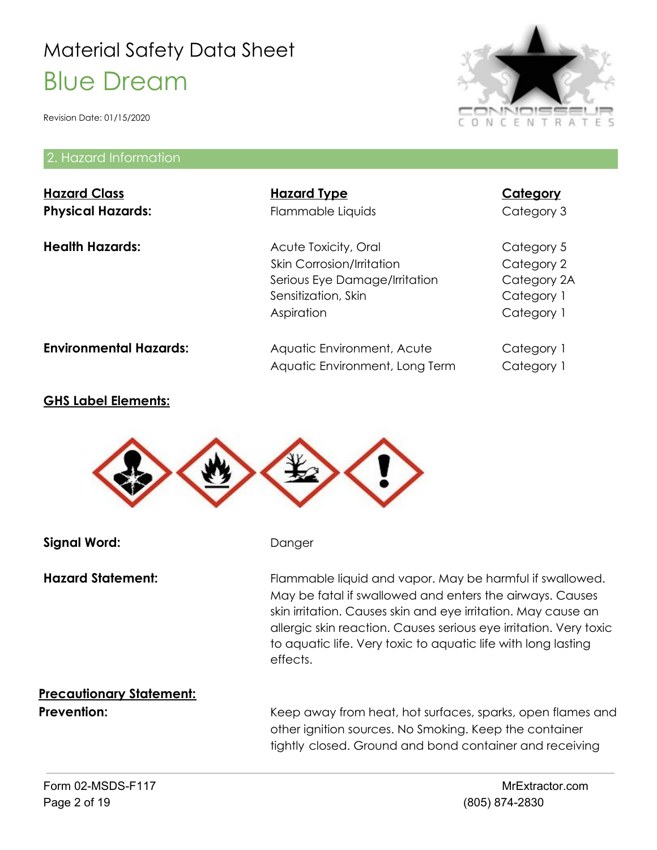Revision Date: 01/15/2020

#### 2. Hazard Information

| <b>Hazard Class</b><br><b>Physical Hazards:</b> | <b>Hazard Type</b><br>Flammable Liquids                                                                                        | <b>Category</b><br>Category 3                                       |
|-------------------------------------------------|--------------------------------------------------------------------------------------------------------------------------------|---------------------------------------------------------------------|
| <b>Health Hazards:</b>                          | Acute Toxicity, Oral<br><b>Skin Corrosion/Irritation</b><br>Serious Eye Damage/Irritation<br>Sensitization, Skin<br>Aspiration | Category 5<br>Category 2<br>Category 2A<br>Category 1<br>Category 1 |
| <b>Environmental Hazards:</b>                   | Aquatic Environment, Acute<br>Aquatic Environment, Long Term                                                                   | Category 1<br>Category 1                                            |

#### **GHS Label Elements:**



**Signal Word:** Danger

Hazard Statement: Flammable liquid and vapor. May be harmful if swallowed. May be fatal if swallowed and enters the airways. Causes skin irritation. Causes skin and eye irritation. May cause an allergic skin reaction. Causes serious eye irritation. Very toxic to aquatic life. Very toxic to aquatic life with long lasting effects.

# **Precautionary Statement:**

**Prevention:** Keep away from heat, hot surfaces, sparks, open flames and other ignition sources. No Smoking. Keep the container tightly closed. Ground and bond container and receiving

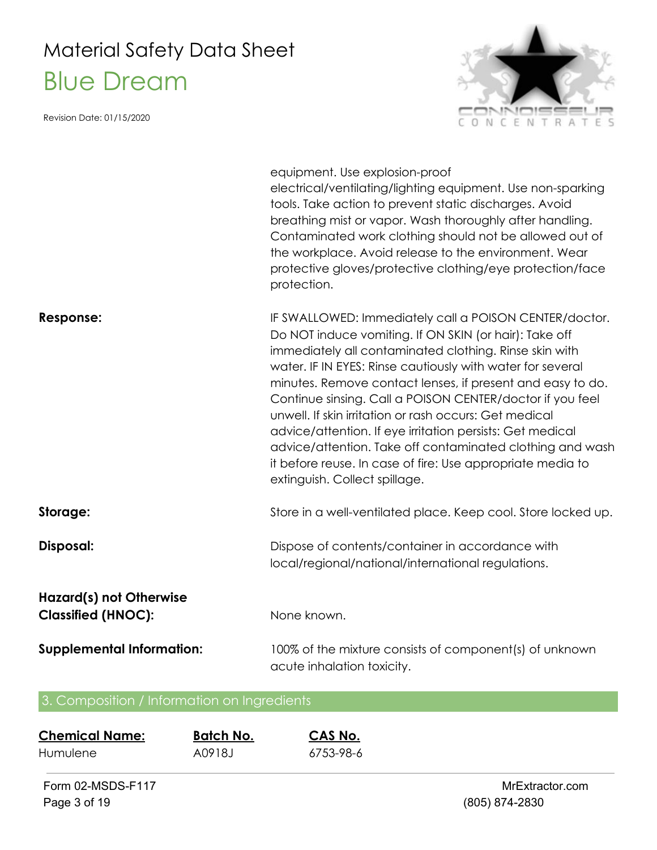Revision Date: 01/15/2020



|                                                             | equipment. Use explosion-proof<br>electrical/ventilating/lighting equipment. Use non-sparking<br>tools. Take action to prevent static discharges. Avoid<br>breathing mist or vapor. Wash thoroughly after handling.<br>Contaminated work clothing should not be allowed out of<br>the workplace. Avoid release to the environment. Wear<br>protective gloves/protective clothing/eye protection/face<br>protection.                                                                                                                                                                                                                                    |
|-------------------------------------------------------------|--------------------------------------------------------------------------------------------------------------------------------------------------------------------------------------------------------------------------------------------------------------------------------------------------------------------------------------------------------------------------------------------------------------------------------------------------------------------------------------------------------------------------------------------------------------------------------------------------------------------------------------------------------|
| Response:                                                   | IF SWALLOWED: Immediately call a POISON CENTER/doctor.<br>Do NOT induce vomiting. If ON SKIN (or hair): Take off<br>immediately all contaminated clothing. Rinse skin with<br>water. IF IN EYES: Rinse cautiously with water for several<br>minutes. Remove contact lenses, if present and easy to do.<br>Continue sinsing. Call a POISON CENTER/doctor if you feel<br>unwell. If skin irritation or rash occurs: Get medical<br>advice/attention. If eye irritation persists: Get medical<br>advice/attention. Take off contaminated clothing and wash<br>it before reuse. In case of fire: Use appropriate media to<br>extinguish. Collect spillage. |
| Storage:                                                    | Store in a well-ventilated place. Keep cool. Store locked up.                                                                                                                                                                                                                                                                                                                                                                                                                                                                                                                                                                                          |
| Disposal:                                                   | Dispose of contents/container in accordance with<br>local/regional/national/international regulations.                                                                                                                                                                                                                                                                                                                                                                                                                                                                                                                                                 |
| <b>Hazard(s) not Otherwise</b><br><b>Classified (HNOC):</b> | None known.                                                                                                                                                                                                                                                                                                                                                                                                                                                                                                                                                                                                                                            |
| <b>Supplemental Information:</b>                            | 100% of the mixture consists of component(s) of unknown<br>acute inhalation toxicity.                                                                                                                                                                                                                                                                                                                                                                                                                                                                                                                                                                  |

### 3. Composition / Information on Ingredients

| <b>Chemical Name:</b> | <b>Batch No.</b> | CAS No.   |
|-----------------------|------------------|-----------|
| Humulene              | A0918.I          | 6753-98-6 |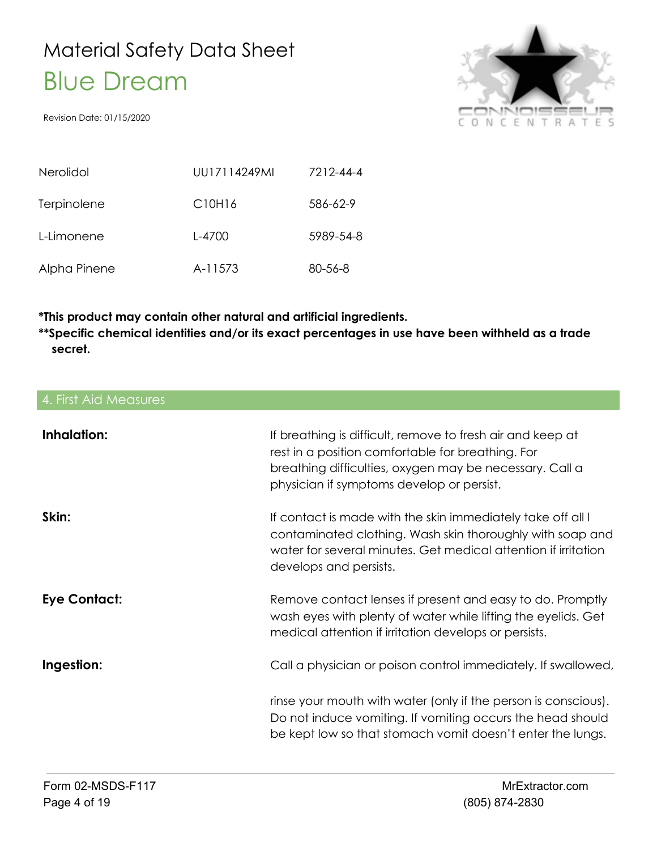Revision Date: 01/15/2020



| Nerolidol    | UU17114249ML | 7212-44-4     |
|--------------|--------------|---------------|
| Terpinolene  | C10H16       | 586-62-9      |
| L-Limonene   | L-4700       | 5989-54-8     |
| Alpha Pinene | A-11573      | $80 - 56 - 8$ |

**\*This product may contain other natural and artificial ingredients.**

**\*\*Specific chemical identities and/or its exact percentages in use have been withheld as a trade secret.**

### 4. First Aid Measures **Inhalation:** If breathing is difficult, remove to fresh air and keep at rest in a position comfortable for breathing. For breathing difficulties, oxygen may be necessary. Call a physician if symptoms develop or persist. **Skin:** If contact is made with the skin immediately take off all l contaminated clothing. Wash skin thoroughly with soap and water for several minutes. Get medical attention if irritation develops and persists. **Eye Contact:** Remove contact lenses if present and easy to do. Promptly wash eyes with plenty of water while lifting the eyelids. Get medical attention if irritation develops or persists. **Ingestion:** Call a physician or poison control immediately. If swallowed, rinse your mouth with water (only if the person is conscious). Do not induce vomiting. If vomiting occurs the head should be kept low so that stomach vomit doesn't enter the lungs.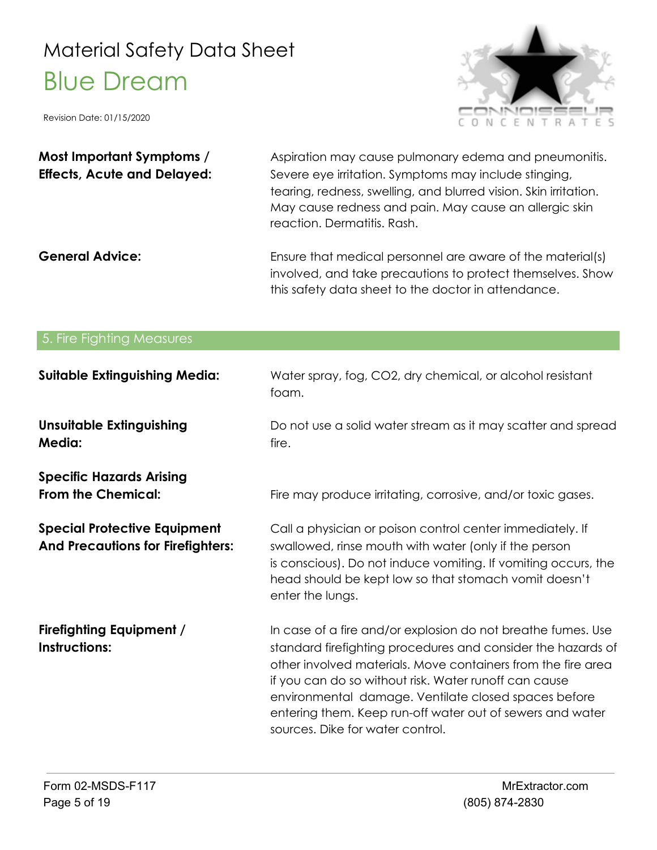

| Most Important Symptoms /          | Aspiration may cause pulmonary edema and pneumonitis.                                                                                                                                                              |
|------------------------------------|--------------------------------------------------------------------------------------------------------------------------------------------------------------------------------------------------------------------|
| <b>Effects, Acute and Delayed:</b> | Severe eye irritation. Symptoms may include stinging,<br>tearing, redness, swelling, and blurred vision. Skin irritation.<br>May cause redness and pain. May cause an allergic skin<br>reaction. Dermatitis. Rash. |
| <b>General Advice:</b>             | Ensure that medical personnel are aware of the material(s)<br>involved, and take precautions to protect themselves. Show<br>this safety data sheet to the doctor in attendance.                                    |

| 5. Fire Fighting Measures                                                       |                                                                                                                                                                                                                                                                                                                                                                                                                |
|---------------------------------------------------------------------------------|----------------------------------------------------------------------------------------------------------------------------------------------------------------------------------------------------------------------------------------------------------------------------------------------------------------------------------------------------------------------------------------------------------------|
| <b>Suitable Extinguishing Media:</b>                                            | Water spray, fog, CO2, dry chemical, or alcohol resistant<br>foam.                                                                                                                                                                                                                                                                                                                                             |
| <b>Unsuitable Extinguishing</b><br><b>Media:</b>                                | Do not use a solid water stream as it may scatter and spread<br>fire.                                                                                                                                                                                                                                                                                                                                          |
| <b>Specific Hazards Arising</b><br><b>From the Chemical:</b>                    | Fire may produce irritating, corrosive, and/or toxic gases.                                                                                                                                                                                                                                                                                                                                                    |
| <b>Special Protective Equipment</b><br><b>And Precautions for Firefighters:</b> | Call a physician or poison control center immediately. If<br>swallowed, rinse mouth with water (only if the person<br>is conscious). Do not induce vomiting. If vomiting occurs, the<br>head should be kept low so that stomach vomit doesn't<br>enter the lungs.                                                                                                                                              |
| <b>Firefighting Equipment /</b><br><b>Instructions:</b>                         | In case of a fire and/or explosion do not breathe fumes. Use<br>standard firefighting procedures and consider the hazards of<br>other involved materials. Move containers from the fire area<br>if you can do so without risk. Water runoff can cause<br>environmental damage. Ventilate closed spaces before<br>entering them. Keep run-off water out of sewers and water<br>sources. Dike for water control. |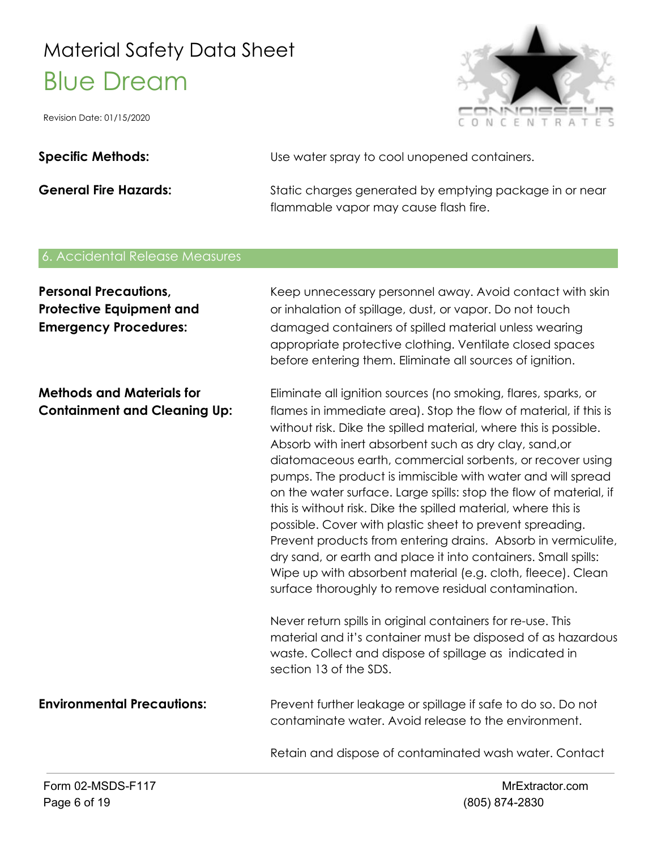Revision Date: 01/15/2020



Specific Methods: **Specific Methods:** Use water spray to cool unopened containers.

**General Fire Hazards:** Static charges generated by emptying package in or near flammable vapor may cause flash fire.

#### 6. Accidental Release Measures

| <b>Personal Precautions,</b><br><b>Protective Equipment and</b><br><b>Emergency Procedures:</b> | Keep unnecessary personnel away. Avoid contact with skin<br>or inhalation of spillage, dust, or vapor. Do not touch<br>damaged containers of spilled material unless wearing<br>appropriate protective clothing. Ventilate closed spaces<br>before entering them. Eliminate all sources of ignition.                                                                                                                                                                                                                                                                                                                                                                                                                                                                                                                                                                                                                                                                                                                                                                         |
|-------------------------------------------------------------------------------------------------|------------------------------------------------------------------------------------------------------------------------------------------------------------------------------------------------------------------------------------------------------------------------------------------------------------------------------------------------------------------------------------------------------------------------------------------------------------------------------------------------------------------------------------------------------------------------------------------------------------------------------------------------------------------------------------------------------------------------------------------------------------------------------------------------------------------------------------------------------------------------------------------------------------------------------------------------------------------------------------------------------------------------------------------------------------------------------|
| <b>Methods and Materials for</b><br><b>Containment and Cleaning Up:</b>                         | Eliminate all ignition sources (no smoking, flares, sparks, or<br>flames in immediate area). Stop the flow of material, if this is<br>without risk. Dike the spilled material, where this is possible.<br>Absorb with inert absorbent such as dry clay, sand, or<br>diatomaceous earth, commercial sorbents, or recover using<br>pumps. The product is immiscible with water and will spread<br>on the water surface. Large spills: stop the flow of material, if<br>this is without risk. Dike the spilled material, where this is<br>possible. Cover with plastic sheet to prevent spreading.<br>Prevent products from entering drains. Absorb in vermiculite,<br>dry sand, or earth and place it into containers. Small spills:<br>Wipe up with absorbent material (e.g. cloth, fleece). Clean<br>surface thoroughly to remove residual contamination.<br>Never return spills in original containers for re-use. This<br>material and it's container must be disposed of as hazardous<br>waste. Collect and dispose of spillage as indicated in<br>section 13 of the SDS. |
| <b>Environmental Precautions:</b>                                                               | Prevent further leakage or spillage if safe to do so. Do not<br>contaminate water. Avoid release to the environment.<br>Retain and dispose of contaminated wash water. Contact                                                                                                                                                                                                                                                                                                                                                                                                                                                                                                                                                                                                                                                                                                                                                                                                                                                                                               |
|                                                                                                 |                                                                                                                                                                                                                                                                                                                                                                                                                                                                                                                                                                                                                                                                                                                                                                                                                                                                                                                                                                                                                                                                              |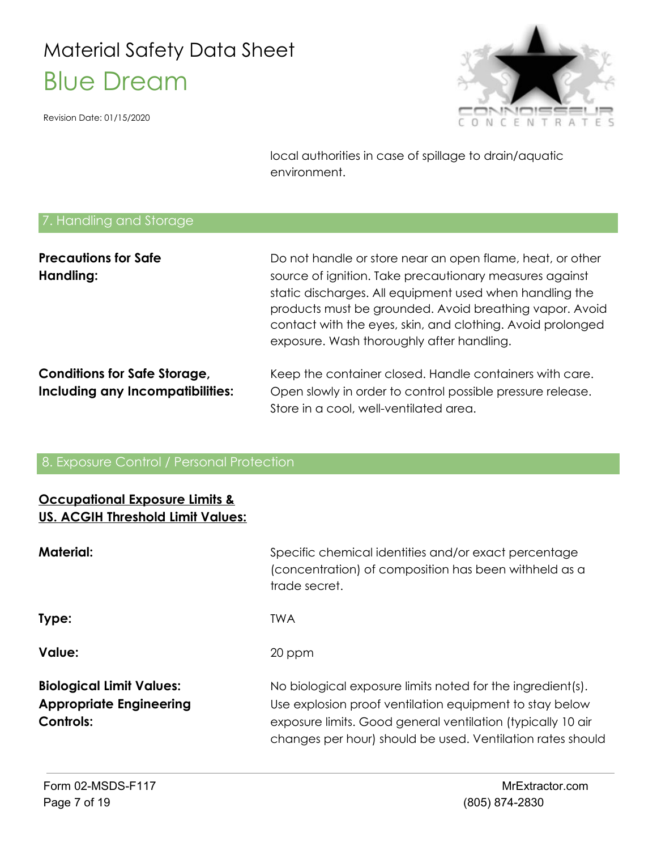Revision Date: 01/15/2020



local authorities in case of spillage to drain/aquatic environment.

#### 7. Handling and Storage

| <b>Precautions for Safe</b>         | Do not handle or store near an open flame, heat, or other                                                                                                                        |
|-------------------------------------|----------------------------------------------------------------------------------------------------------------------------------------------------------------------------------|
| Handling:                           | source of ignition. Take precautionary measures against                                                                                                                          |
|                                     | static discharges. All equipment used when handling the<br>products must be grounded. Avoid breathing vapor. Avoid<br>contact with the eyes, skin, and clothing. Avoid prolonged |
|                                     | exposure. Wash thoroughly after handling.                                                                                                                                        |
| <b>Conditions for Safe Storage,</b> | Keep the container closed. Handle containers with care.                                                                                                                          |
| Including any Incompatibilities:    | Open slowly in order to control possible pressure release.                                                                                                                       |
|                                     | Store in a cool, well-ventilated area.                                                                                                                                           |

#### 8. Exposure Control / Personal Protection

#### **Occupational Exposure Limits & US. ACGIH Threshold Limit Values:**

| <b>Material:</b>                                                                      | Specific chemical identities and/or exact percentage<br>(concentration) of composition has been withheld as a<br>trade secret.                                                                                                                     |
|---------------------------------------------------------------------------------------|----------------------------------------------------------------------------------------------------------------------------------------------------------------------------------------------------------------------------------------------------|
| Type:                                                                                 | <b>TWA</b>                                                                                                                                                                                                                                         |
| <b>Value:</b>                                                                         | 20 ppm                                                                                                                                                                                                                                             |
| <b>Biological Limit Values:</b><br><b>Appropriate Engineering</b><br><b>Controls:</b> | No biological exposure limits noted for the ingredient(s).<br>Use explosion proof ventilation equipment to stay below<br>exposure limits. Good general ventilation (typically 10 air<br>changes per hour) should be used. Ventilation rates should |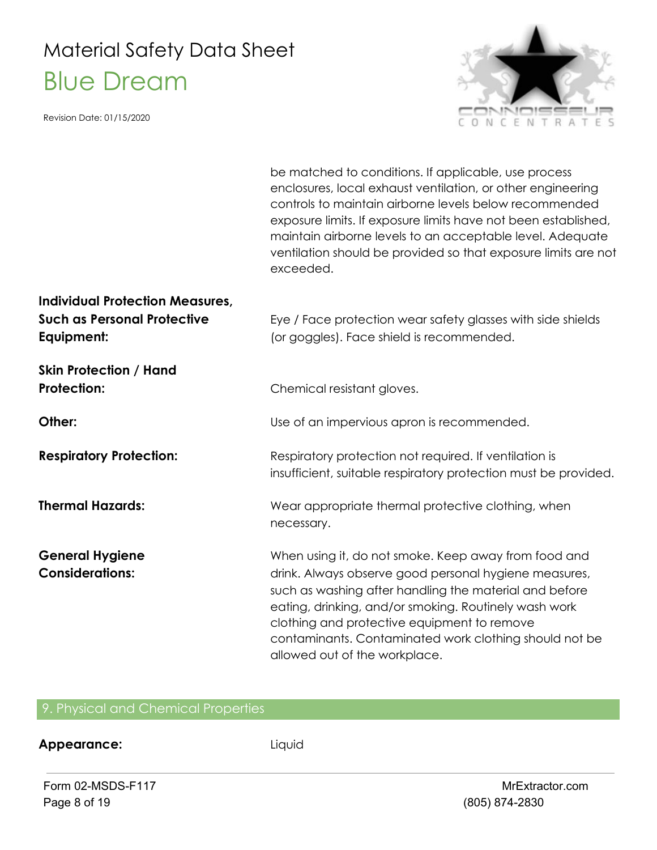Revision Date: 01/15/2020



|                                                                                            | be matched to conditions. If applicable, use process<br>enclosures, local exhaust ventilation, or other engineering<br>controls to maintain airborne levels below recommended<br>exposure limits. If exposure limits have not been established,<br>maintain airborne levels to an acceptable level. Adequate<br>ventilation should be provided so that exposure limits are not<br>exceeded. |
|--------------------------------------------------------------------------------------------|---------------------------------------------------------------------------------------------------------------------------------------------------------------------------------------------------------------------------------------------------------------------------------------------------------------------------------------------------------------------------------------------|
| <b>Individual Protection Measures,</b><br><b>Such as Personal Protective</b><br>Equipment: | Eye / Face protection wear safety glasses with side shields<br>(or goggles). Face shield is recommended.                                                                                                                                                                                                                                                                                    |
| <b>Skin Protection / Hand</b><br><b>Protection:</b>                                        | Chemical resistant gloves.                                                                                                                                                                                                                                                                                                                                                                  |
| Other:                                                                                     | Use of an impervious apron is recommended.                                                                                                                                                                                                                                                                                                                                                  |
| <b>Respiratory Protection:</b>                                                             | Respiratory protection not required. If ventilation is<br>insufficient, suitable respiratory protection must be provided.                                                                                                                                                                                                                                                                   |
| <b>Thermal Hazards:</b>                                                                    | Wear appropriate thermal protective clothing, when<br>necessary.                                                                                                                                                                                                                                                                                                                            |
| <b>General Hygiene</b><br><b>Considerations:</b>                                           | When using it, do not smoke. Keep away from food and<br>drink. Always observe good personal hygiene measures,<br>such as washing after handling the material and before<br>eating, drinking, and/or smoking. Routinely wash work<br>clothing and protective equipment to remove<br>contaminants. Contaminated work clothing should not be<br>allowed out of the workplace.                  |

#### 9. Physical and Chemical Properties

#### **Appearance:** Liquid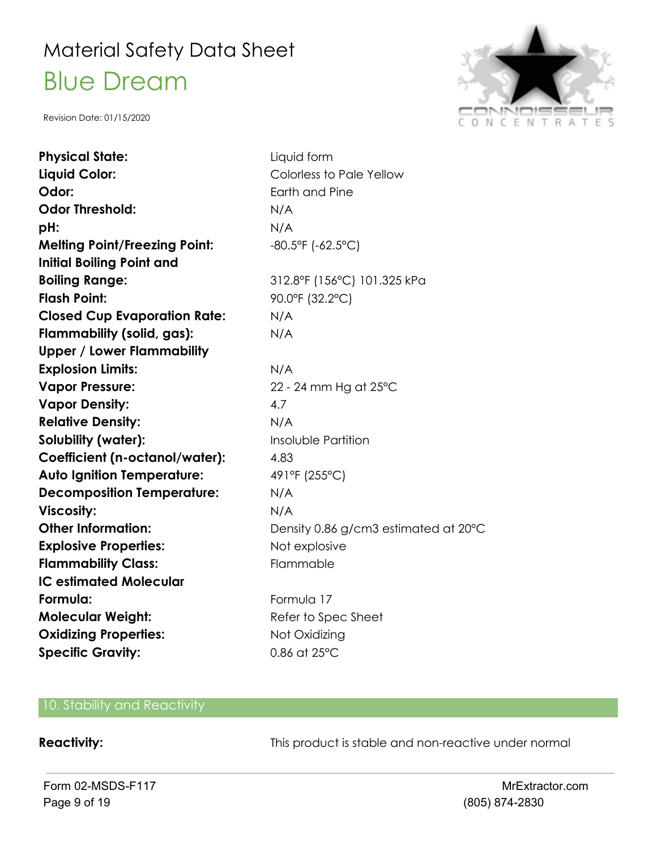Revision Date: 01/15/2020



| <b>Physical State:</b>               | Liquid form                          |
|--------------------------------------|--------------------------------------|
| Liquid Color:                        | Colorless to Pale Yellow             |
| Odor:                                | Earth and Pine                       |
| <b>Odor Threshold:</b>               | N/A                                  |
| pH:                                  | N/A                                  |
| <b>Melting Point/Freezing Point:</b> | $-80.5$ °F ( $-62.5$ °C)             |
| <b>Initial Boiling Point and</b>     |                                      |
| <b>Boiling Range:</b>                | 312.8°F (156°C) 101.325 kPa          |
| <b>Flash Point:</b>                  | 90.0°F (32.2°C)                      |
| <b>Closed Cup Evaporation Rate:</b>  | N/A                                  |
| Flammability (solid, gas):           | N/A                                  |
| <b>Upper / Lower Flammability</b>    |                                      |
| <b>Explosion Limits:</b>             | N/A                                  |
| <b>Vapor Pressure:</b>               | 22 - 24 mm Hg at 25°C                |
| <b>Vapor Density:</b>                | 4.7                                  |
| <b>Relative Density:</b>             | N/A                                  |
| Solubility (water):                  | Insoluble Partition                  |
| Coefficient (n-octanol/water):       | 4.83                                 |
| <b>Auto Ignition Temperature:</b>    | 491°F (255°C)                        |
| <b>Decomposition Temperature:</b>    | N/A                                  |
| <b>Viscosity:</b>                    | N/A                                  |
| <b>Other Information:</b>            | Density 0.86 g/cm3 estimated at 20°C |
| <b>Explosive Properties:</b>         | Not explosive                        |
| <b>Flammability Class:</b>           | Flammable                            |
| <b>IC estimated Molecular</b>        |                                      |
| Formula:                             | Formula 17                           |
| <b>Molecular Weight:</b>             | Refer to Spec Sheet                  |
| <b>Oxidizing Properties:</b>         | Not Oxidizing                        |
| <b>Specific Gravity:</b>             | 0.86 at 25°C                         |

#### 10. Stability and Reactivity

**Reactivity:** This product is stable and non-reactive under normal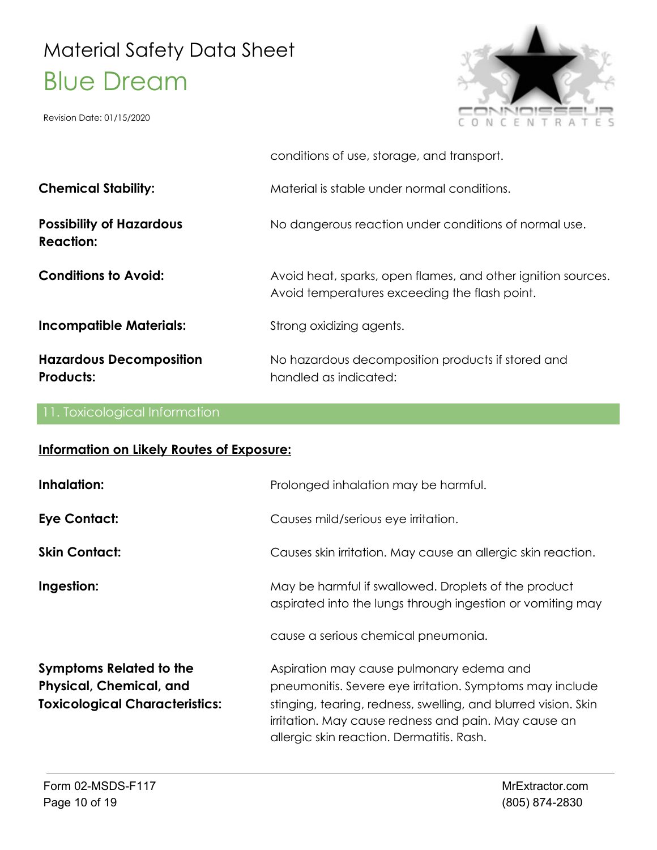Revision Date: 01/15/2020



|                                                     | conditions of use, storage, and transport.                                                                    |
|-----------------------------------------------------|---------------------------------------------------------------------------------------------------------------|
| <b>Chemical Stability:</b>                          | Material is stable under normal conditions.                                                                   |
| <b>Possibility of Hazardous</b><br><b>Reaction:</b> | No dangerous reaction under conditions of normal use.                                                         |
| <b>Conditions to Avoid:</b>                         | Avoid heat, sparks, open flames, and other ignition sources.<br>Avoid temperatures exceeding the flash point. |
| <b>Incompatible Materials:</b>                      | Strong oxidizing agents.                                                                                      |
| <b>Hazardous Decomposition</b><br><b>Products:</b>  | No hazardous decomposition products if stored and<br>handled as indicated:                                    |

#### 11. Toxicological Information

#### **Information on Likely Routes of Exposure:**

| Inhalation:                                                                                        | Prolonged inhalation may be harmful.                                                                                                                                                                                                                                        |
|----------------------------------------------------------------------------------------------------|-----------------------------------------------------------------------------------------------------------------------------------------------------------------------------------------------------------------------------------------------------------------------------|
| Eye Contact:                                                                                       | Causes mild/serious eye irritation.                                                                                                                                                                                                                                         |
| <b>Skin Contact:</b>                                                                               | Causes skin irritation. May cause an allergic skin reaction.                                                                                                                                                                                                                |
| Ingestion:                                                                                         | May be harmful if swallowed. Droplets of the product<br>aspirated into the lungs through ingestion or vomiting may                                                                                                                                                          |
|                                                                                                    | cause a serious chemical pneumonia.                                                                                                                                                                                                                                         |
| <b>Symptoms Related to the</b><br>Physical, Chemical, and<br><b>Toxicological Characteristics:</b> | Aspiration may cause pulmonary edema and<br>pneumonitis. Severe eye irritation. Symptoms may include<br>stinging, tearing, redness, swelling, and blurred vision. Skin<br>irritation. May cause redness and pain. May cause an<br>allergic skin reaction. Dermatitis. Rash. |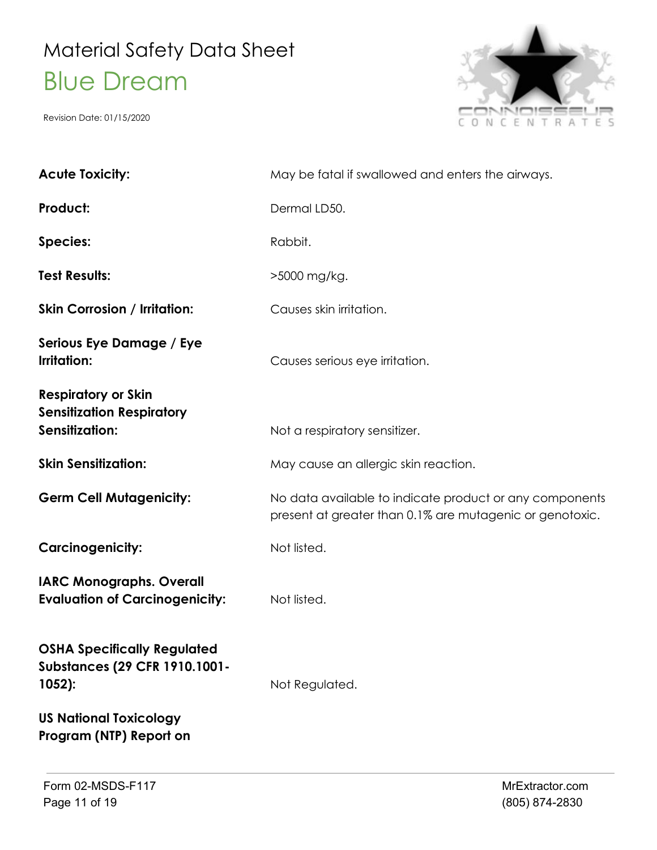

| <b>Acute Toxicity:</b>                                                                  | May be fatal if swallowed and enters the airways.                                                                   |
|-----------------------------------------------------------------------------------------|---------------------------------------------------------------------------------------------------------------------|
| Product:                                                                                | Dermal LD50.                                                                                                        |
| <b>Species:</b>                                                                         | Rabbit.                                                                                                             |
| <b>Test Results:</b>                                                                    | >5000 mg/kg.                                                                                                        |
| <b>Skin Corrosion / Irritation:</b>                                                     | Causes skin irritation.                                                                                             |
| Serious Eye Damage / Eye<br>Irritation:                                                 | Causes serious eye irritation.                                                                                      |
| <b>Respiratory or Skin</b><br><b>Sensitization Respiratory</b><br><b>Sensitization:</b> | Not a respiratory sensitizer.                                                                                       |
| <b>Skin Sensitization:</b>                                                              | May cause an allergic skin reaction.                                                                                |
| <b>Germ Cell Mutagenicity:</b>                                                          | No data available to indicate product or any components<br>present at greater than 0.1% are mutagenic or genotoxic. |
| <b>Carcinogenicity:</b>                                                                 | Not listed.                                                                                                         |
| <b>IARC Monographs. Overall</b><br><b>Evaluation of Carcinogenicity:</b>                | Not listed.                                                                                                         |
| <b>OSHA Specifically Regulated</b><br><b>Substances (29 CFR 1910.1001-</b><br>$1052$ :  | Not Regulated.                                                                                                      |
| <b>US National Toxicology</b><br>Program (NTP) Report on                                |                                                                                                                     |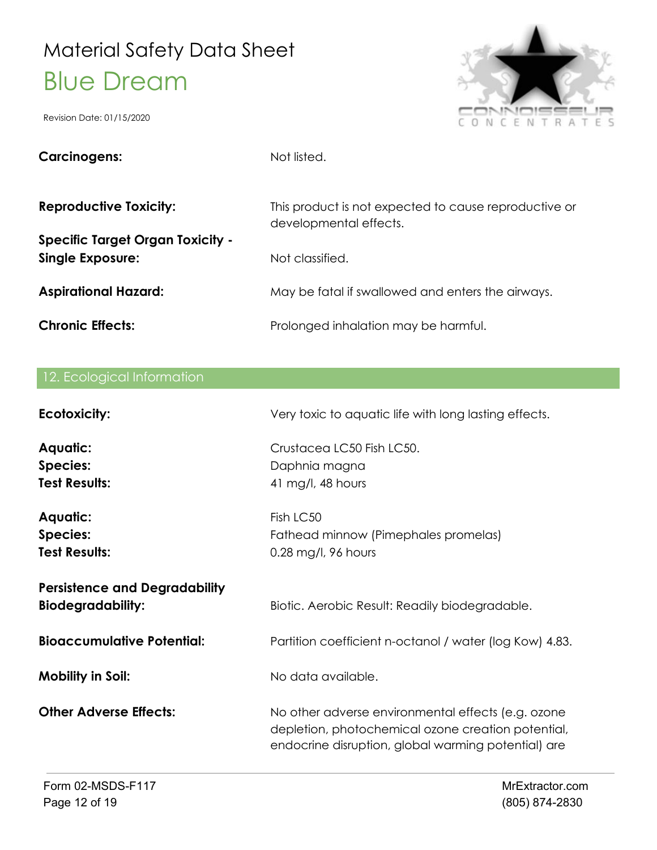

| <b>Carcinogens:</b>                                                | Not listed.                                                                     |
|--------------------------------------------------------------------|---------------------------------------------------------------------------------|
| <b>Reproductive Toxicity:</b>                                      | This product is not expected to cause reproductive or<br>developmental effects. |
| <b>Specific Target Organ Toxicity -</b><br><b>Single Exposure:</b> | Not classified.                                                                 |
| <b>Aspirational Hazard:</b>                                        | May be fatal if swallowed and enters the airways.                               |
| <b>Chronic Effects:</b>                                            | Prolonged inhalation may be harmful.                                            |

|  | 12. Ecological Information |
|--|----------------------------|
|  |                            |

| <b>Ecotoxicity:</b>                                              | Very toxic to aquatic life with long lasting effects.                                                                                                           |
|------------------------------------------------------------------|-----------------------------------------------------------------------------------------------------------------------------------------------------------------|
| <b>Aquatic:</b>                                                  | Crustacea LC50 Fish LC50.                                                                                                                                       |
| <b>Species:</b>                                                  | Daphnia magna                                                                                                                                                   |
| <b>Test Results:</b>                                             | 41 mg/l, 48 hours                                                                                                                                               |
| <b>Aquatic:</b>                                                  | Fish LC50                                                                                                                                                       |
| <b>Species:</b>                                                  | Fathead minnow (Pimephales promelas)                                                                                                                            |
| <b>Test Results:</b>                                             | 0.28 mg/l, 96 hours                                                                                                                                             |
| <b>Persistence and Degradability</b><br><b>Biodegradability:</b> | Biotic. Aerobic Result: Readily biodegradable.                                                                                                                  |
| <b>Bioaccumulative Potential:</b>                                | Partition coefficient n-octanol / water (log Kow) 4.83.                                                                                                         |
| <b>Mobility in Soil:</b>                                         | No data available.                                                                                                                                              |
| <b>Other Adverse Effects:</b>                                    | No other adverse environmental effects (e.g. ozone<br>depletion, photochemical ozone creation potential,<br>endocrine disruption, global warming potential) are |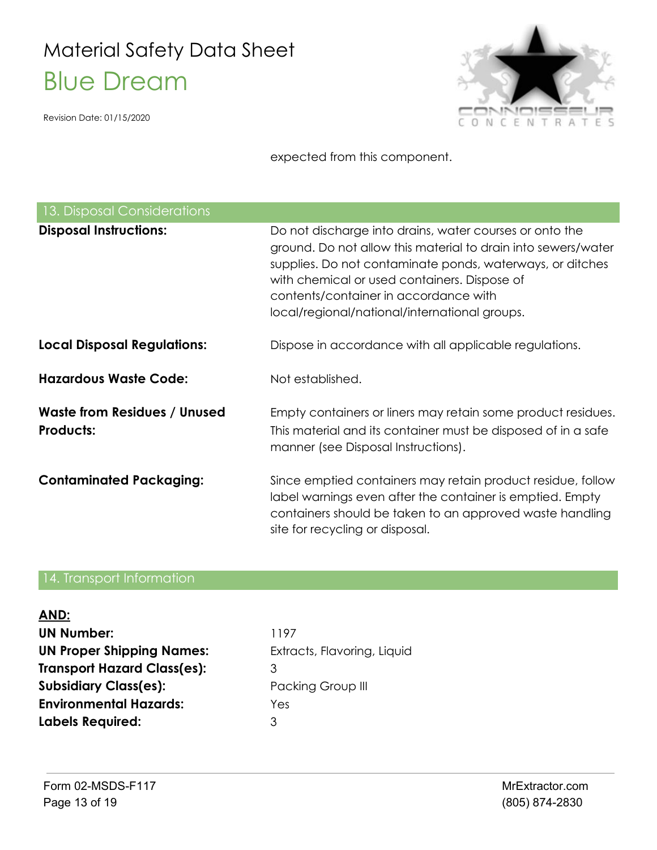Revision Date: 01/15/2020



expected from this component.

| 13. Disposal Considerations                             |                                                                                                                                                                                                                                                                                                                                 |
|---------------------------------------------------------|---------------------------------------------------------------------------------------------------------------------------------------------------------------------------------------------------------------------------------------------------------------------------------------------------------------------------------|
| <b>Disposal Instructions:</b>                           | Do not discharge into drains, water courses or onto the<br>ground. Do not allow this material to drain into sewers/water<br>supplies. Do not contaminate ponds, waterways, or ditches<br>with chemical or used containers. Dispose of<br>contents/container in accordance with<br>local/regional/national/international groups. |
| <b>Local Disposal Regulations:</b>                      | Dispose in accordance with all applicable regulations.                                                                                                                                                                                                                                                                          |
| <b>Hazardous Waste Code:</b>                            | Not established.                                                                                                                                                                                                                                                                                                                |
| <b>Waste from Residues / Unused</b><br><b>Products:</b> | Empty containers or liners may retain some product residues.<br>This material and its container must be disposed of in a safe<br>manner (see Disposal Instructions).                                                                                                                                                            |
| <b>Contaminated Packaging:</b>                          | Since emptied containers may retain product residue, follow<br>label warnings even after the container is emptied. Empty<br>containers should be taken to an approved waste handling<br>site for recycling or disposal.                                                                                                         |

#### 14. Transport Information

| AND:                               |                             |
|------------------------------------|-----------------------------|
| <b>UN Number:</b>                  | 1197                        |
| <b>UN Proper Shipping Names:</b>   | Extracts, Flavoring, Liquid |
| <b>Transport Hazard Class(es):</b> | З                           |
| <b>Subsidiary Class(es):</b>       | Packing Group III           |
| <b>Environmental Hazards:</b>      | Yes                         |
| <b>Labels Required:</b>            | 3                           |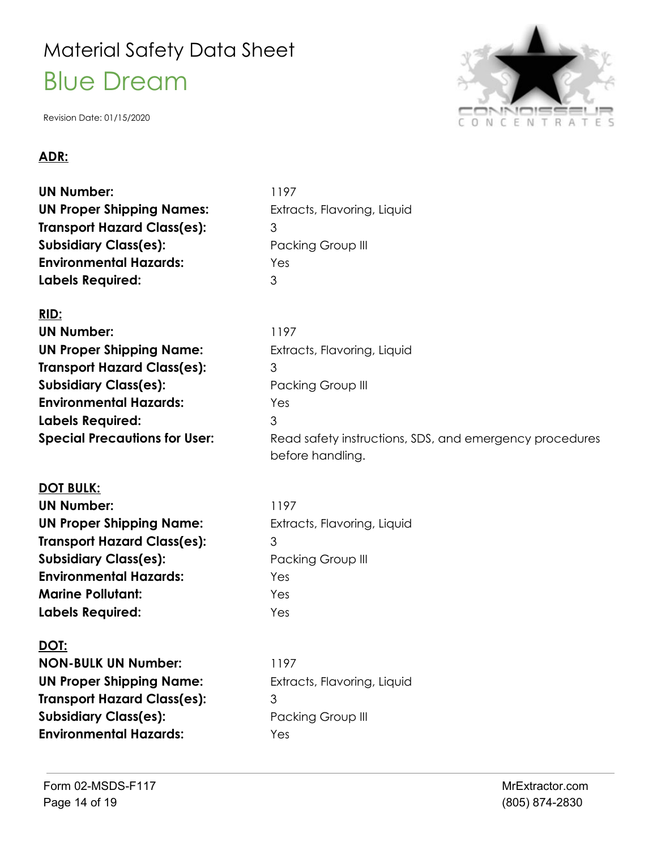Revision Date: 01/15/2020

#### **ADR:**

**UN Number:** 1197 **UN Proper Shipping Names:** Extracts, Flavoring, Liquid **Transport Hazard Class(es):** 3 **Subsidiary Class(es):** Packing Group III **Environmental Hazards:** Yes **Labels Required:** 3

#### **RID:**

| 1197                     |
|--------------------------|
| Extracts, Flavoring      |
| 3                        |
| <b>Packing Group III</b> |
| Yes                      |
| 3                        |
| Read safety instru       |
|                          |

#### **DOT BULK:**

**UN Number:** 1197 **UN Proper Shipping Name:** Extracts, Flavoring, Liquid **Transport Hazard Class(es):** 3 **Subsidiary Class(es):** Packing Group III **Environmental Hazards:** Yes **Marine Pollutant:** Yes **Labels Required:** Yes

#### **DOT:**

**NON-BULK UN Number:** 1197 **UN Proper Shipping Name:** Extracts, Flavoring, Liquid **Transport Hazard Class(es):** 3 **Subsidiary Class(es):** Packing Group III **Environmental Hazards:** Yes

g, Liquid **Special Precautions for User:** Read safety instructions, SDS, and emergency procedures before handling.

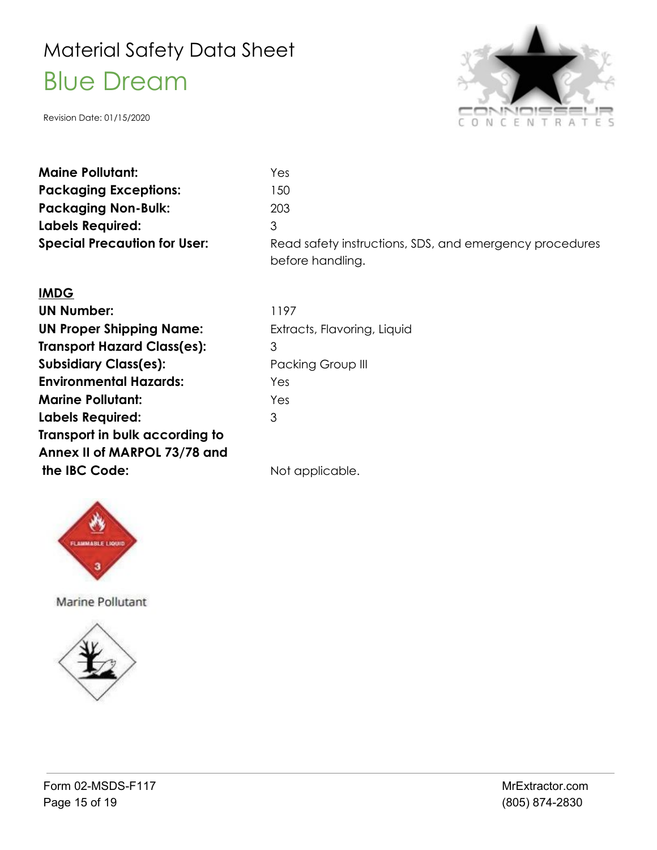Revision Date: 01/15/2020



| <b>Maine Pollutant:</b>             | Yes                                                                         |
|-------------------------------------|-----------------------------------------------------------------------------|
| <b>Packaging Exceptions:</b>        | 150                                                                         |
| <b>Packaging Non-Bulk:</b>          | 203                                                                         |
| <b>Labels Required:</b>             | 3                                                                           |
| <b>Special Precaution for User:</b> | Read safety instructions, SDS, and emergency procedures<br>before handling. |

#### **IMDG**

| <b>UN Number:</b>                  | 1197  |
|------------------------------------|-------|
| <b>UN Proper Shipping Name:</b>    | Extra |
| <b>Transport Hazard Class(es):</b> | 3     |
| <b>Subsidiary Class(es):</b>       | Pack  |
| <b>Environmental Hazards:</b>      | Yes   |
| <b>Marine Pollutant:</b>           | Yes   |
| <b>Labels Required:</b>            | 3     |
| Transport in bulk according to     |       |
| Annex II of MARPOL 73/78 and       |       |
| the IBC Code:                      | Not c |

Extracts, Flavoring, Liquid **Packing Group III** 

Not applicable.



Marine Pollutant

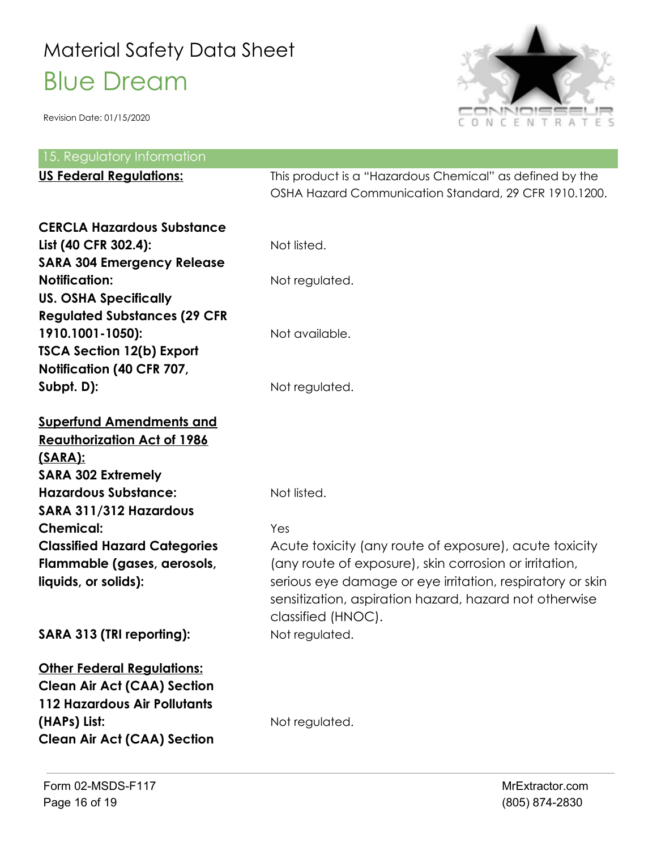

| 15. Regulatory Information                                                                                                                                           |                                                                                                                                                                                                                                                               |
|----------------------------------------------------------------------------------------------------------------------------------------------------------------------|---------------------------------------------------------------------------------------------------------------------------------------------------------------------------------------------------------------------------------------------------------------|
| <b>US Federal Regulations:</b>                                                                                                                                       | This product is a "Hazardous Chemical" as defined by the<br>OSHA Hazard Communication Standard, 29 CFR 1910.1200.                                                                                                                                             |
| <b>CERCLA Hazardous Substance</b><br>List (40 CFR 302.4):<br><b>SARA 304 Emergency Release</b><br><b>Notification:</b><br><b>US. OSHA Specifically</b>               | Not listed.<br>Not regulated.                                                                                                                                                                                                                                 |
| <b>Regulated Substances (29 CFR</b><br>1910.1001-1050):<br><b>TSCA Section 12(b) Export</b><br>Notification (40 CFR 707,                                             | Not available.                                                                                                                                                                                                                                                |
| Subpt. D):                                                                                                                                                           | Not regulated.                                                                                                                                                                                                                                                |
| <b>Superfund Amendments and</b><br><b>Reauthorization Act of 1986</b><br><u>(SARA):</u><br><b>SARA 302 Extremely</b>                                                 |                                                                                                                                                                                                                                                               |
| <b>Hazardous Substance:</b><br>SARA 311/312 Hazardous                                                                                                                | Not listed.                                                                                                                                                                                                                                                   |
| <b>Chemical:</b>                                                                                                                                                     | Yes                                                                                                                                                                                                                                                           |
| <b>Classified Hazard Categories</b><br>Flammable (gases, aerosols,<br>liquids, or solids):                                                                           | Acute toxicity (any route of exposure), acute toxicity<br>(any route of exposure), skin corrosion or irritation,<br>serious eye damage or eye irritation, respiratory or skin<br>sensitization, aspiration hazard, hazard not otherwise<br>classified (HNOC). |
| SARA 313 (TRI reporting):                                                                                                                                            | Not regulated.                                                                                                                                                                                                                                                |
| <b>Other Federal Regulations:</b><br><b>Clean Air Act (CAA) Section</b><br><b>112 Hazardous Air Pollutants</b><br>(HAPs) List:<br><b>Clean Air Act (CAA) Section</b> | Not regulated.                                                                                                                                                                                                                                                |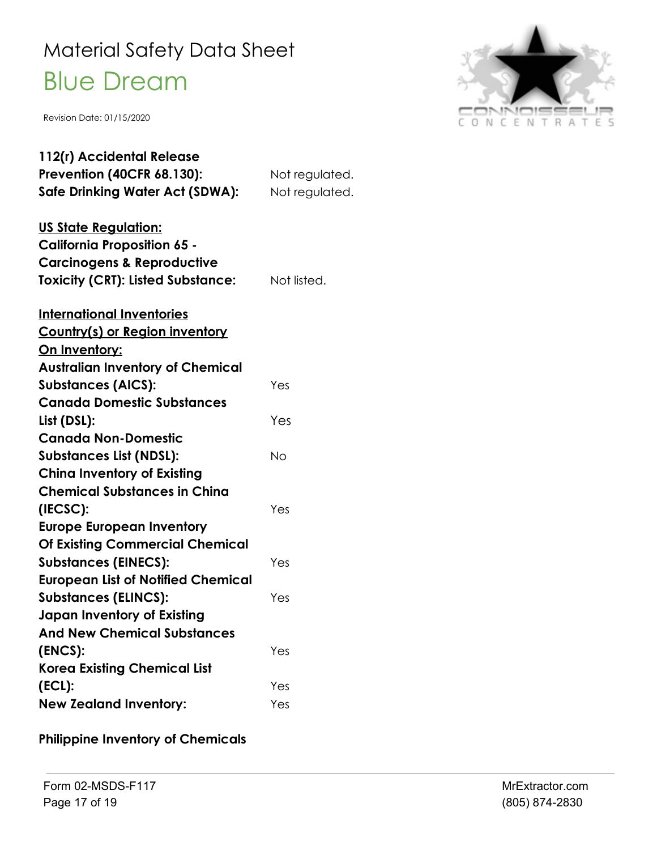Revision Date: 01/15/2020



| 112(r) Accidental Release                 |                |
|-------------------------------------------|----------------|
| <b>Prevention (40CFR 68.130):</b>         | Not regulated. |
| Safe Drinking Water Act (SDWA):           | Not regulated. |
| <u>US State Regulation:</u>               |                |
| <b>California Proposition 65 -</b>        |                |
| <b>Carcinogens &amp; Reproductive</b>     |                |
| <b>Toxicity (CRT): Listed Substance:</b>  | Not listed.    |
| <b>International Inventories</b>          |                |
| Country(s) or Region inventory            |                |
| On Inventory:                             |                |
| <b>Australian Inventory of Chemical</b>   |                |
| <b>Substances (AICS):</b>                 | Yes            |
| <b>Canada Domestic Substances</b>         |                |
| List (DSL):                               | Yes            |
| <b>Canada Non-Domestic</b>                |                |
| <b>Substances List (NDSL):</b>            | No             |
| <b>China Inventory of Existing</b>        |                |
| <b>Chemical Substances in China</b>       |                |
| (IECSC):                                  | Yes            |
| <b>Europe European Inventory</b>          |                |
| <b>Of Existing Commercial Chemical</b>    |                |
| <b>Substances (EINECS):</b>               | Yes            |
| <b>European List of Notified Chemical</b> |                |
| <b>Substances (ELINCS):</b>               | Yes            |
| <b>Japan Inventory of Existing</b>        |                |
| <b>And New Chemical Substances</b>        |                |
| (ENCS):                                   | Yes            |
| <b>Korea Existing Chemical List</b>       |                |
| $(ECL)$ :                                 | Yes            |
| <b>New Zealand Inventory:</b>             | Yes            |

**Philippine Inventory of Chemicals**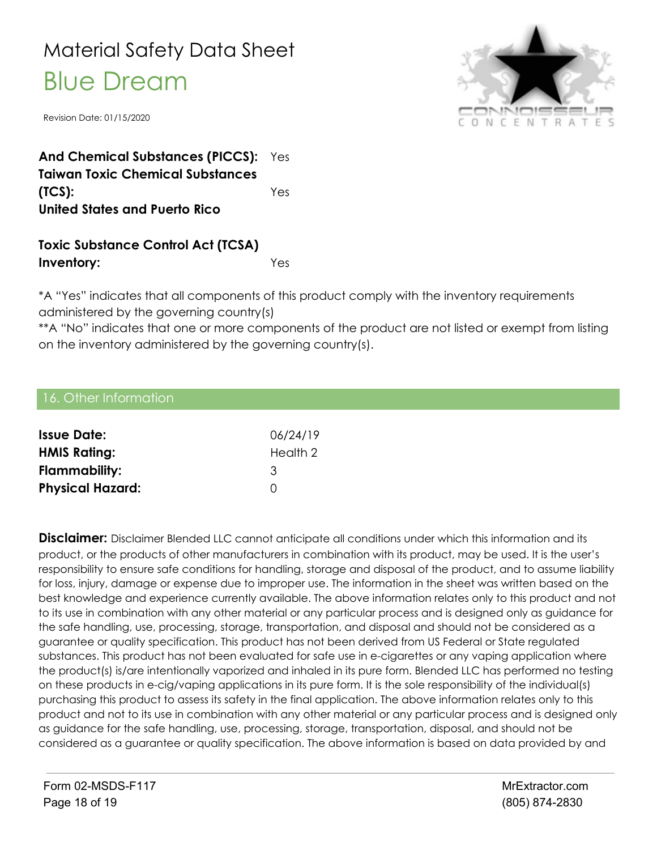Revision Date: 01/15/2020



**And Chemical Substances (PICCS):** Yes **Taiwan Toxic Chemical Substances (TCS):** Yes **United States and Puerto Rico**

#### **Toxic Substance Control Act (TCSA) Inventory:** Yes

\*A "Yes" indicates that all components of this product comply with the inventory requirements administered by the governing country(s)

\*\*A "No" indicates that one or more components of the product are not listed or exempt from listing on the inventory administered by the governing country(s).

#### 16. Other Information

| <b>Issue Date:</b>      | 06/24/19 |
|-------------------------|----------|
| <b>HMIS Rating:</b>     | Health 2 |
| Flammability:           | 3        |
| <b>Physical Hazard:</b> | O        |

**Disclaimer:** Disclaimer Blended LLC cannot anticipate all conditions under which this information and its product, or the products of other manufacturers in combination with its product, may be used. It is the user's responsibility to ensure safe conditions for handling, storage and disposal of the product, and to assume liability for loss, injury, damage or expense due to improper use. The information in the sheet was written based on the best knowledge and experience currently available. The above information relates only to this product and not to its use in combination with any other material or any particular process and is designed only as guidance for the safe handling, use, processing, storage, transportation, and disposal and should not be considered as a guarantee or quality specification. This product has not been derived from US Federal or State regulated substances. This product has not been evaluated for safe use in e-cigarettes or any vaping application where the product(s) is/are intentionally vaporized and inhaled in its pure form. Blended LLC has performed no testing on these products in e-cig/vaping applications in its pure form. It is the sole responsibility of the individual(s) purchasing this product to assess its safety in the final application. The above information relates only to this product and not to its use in combination with any other material or any particular process and is designed only as guidance for the safe handling, use, processing, storage, transportation, disposal, and should not be considered as a guarantee or quality specification. The above information is based on data provided by and